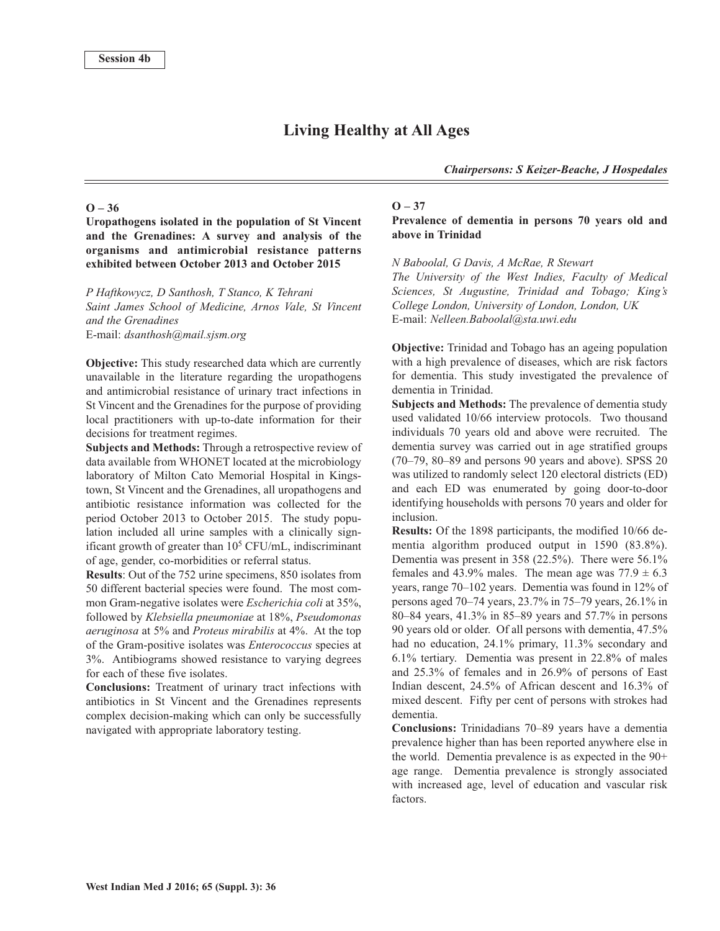# **Living Healthy at All Ages**

*Chairpersons: S Keizer-Beache, J Hospedales*

## $O - 36$

## **Uropathogens isolated in the population of St Vincent and the Grenadines: A survey and analysis of the organisms and antimicrobial resistance patterns exhibited between October 2013 and October 2015**

*P Haftkowycz, D Santhosh, T Stanco, K Tehrani Saint James School of Medicine, Arnos Vale, St Vincent and the Grenadines* E-mail: *dsanthosh@mail.sjsm.org*

**Objective:** This study researched data which are currently unavailable in the literature regarding the uropathogens and antimicrobial resistance of urinary tract infections in St Vincent and the Grenadines for the purpose of providing local practitioners with up-to-date information for their decisions for treatment regimes.

**Subjects and Methods:** Through a retrospective review of data available from WHONET located at the microbiology laboratory of Milton Cato Memorial Hospital in Kingstown, St Vincent and the Grenadines, all uropathogens and antibiotic resistance information was collected for the period October 2013 to October 2015. The study population included all urine samples with a clinically significant growth of greater than  $10<sup>5</sup> CFU/mL$ , indiscriminant of age, gender, co-morbidities or referral status.

**Results**: Out of the 752 urine specimens, 850 isolates from 50 different bacterial species were found. The most common Gram-negative isolates were *Escherichia coli* at 35%, followed by *Klebsiella pneumoniae* at 18%, *Pseudomonas aeruginosa* at 5% and *Proteus mirabilis* at 4%. At the top of the Gram-positive isolates was *Enterococcus* species at 3%. Antibiograms showed resistance to varying degrees for each of these five isolates.

**Conclusions:** Treatment of urinary tract infections with antibiotics in St Vincent and the Grenadines represents complex decision-making which can only be successfully navigated with appropriate laboratory testing.

## $Q = 37$

## **Prevalence of dementia in persons 70 years old and above in Trinidad**

#### *N Baboolal, G Davis, A McRae, R Stewart*

*The University of the West Indies, Faculty of Medical Sciences, St Augustine, Trinidad and Tobago; King's College London, University of London, London, UK* E-mail: *Nelleen.Baboolal@sta.uwi.edu*

**Objective:** Trinidad and Tobago has an ageing population with a high prevalence of diseases, which are risk factors for dementia. This study investigated the prevalence of dementia in Trinidad.

**Subjects and Methods:** The prevalence of dementia study used validated 10/66 interview protocols. Two thousand individuals 70 years old and above were recruited. The dementia survey was carried out in age stratified groups (70–79, 80–89 and persons 90 years and above). SPSS 20 was utilized to randomly select 120 electoral districts (ED) and each ED was enumerated by going door-to-door identifying households with persons 70 years and older for inclusion.

**Results:** Of the 1898 participants, the modified 10/66 dementia algorithm produced output in 1590 (83.8%). Dementia was present in 358 (22.5%). There were 56.1% females and 43.9% males. The mean age was  $77.9 \pm 6.3$ years, range 70–102 years. Dementia was found in 12% of persons aged 70–74 years, 23.7% in 75–79 years, 26.1% in 80–84 years, 41.3% in 85–89 years and 57.7% in persons 90 years old or older. Of all persons with dementia, 47.5% had no education, 24.1% primary, 11.3% secondary and 6.1% tertiary. Dementia was present in 22.8% of males and 25.3% of females and in 26.9% of persons of East Indian descent, 24.5% of African descent and 16.3% of mixed descent. Fifty per cent of persons with strokes had dementia.

**Conclusions:** Trinidadians 70–89 years have a dementia prevalence higher than has been reported anywhere else in the world. Dementia prevalence is as expected in the 90+ age range. Dementia prevalence is strongly associated with increased age, level of education and vascular risk factors.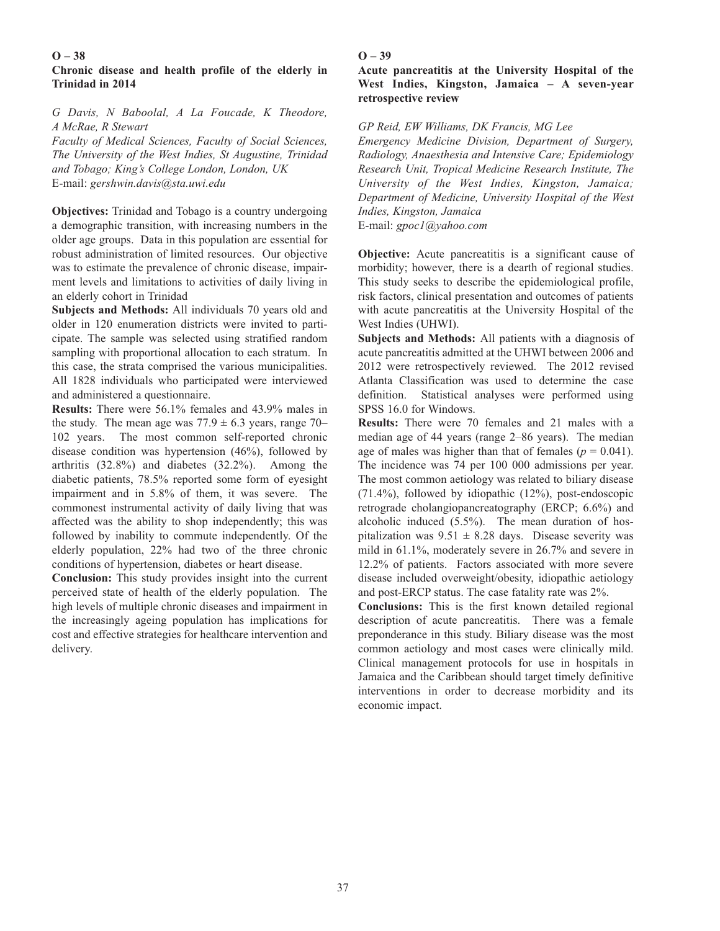## $O - 38$

## **Chronic disease and health profile of the elderly in Trinidad in 2014**

*G Davis, N Baboolal, A La Foucade, K Theodore, A McRae, R Stewart*

*Faculty of Medical Sciences, Faculty of Social Sciences, The University of the West Indies, St Augustine, Trinidad and Tobago; King's College London, London, UK* E-mail: *gershwin.davis@sta.uwi.edu*

**Objectives:** Trinidad and Tobago is a country undergoing a demographic transition, with increasing numbers in the older age groups. Data in this population are essential for robust administration of limited resources. Our objective was to estimate the prevalence of chronic disease, impairment levels and limitations to activities of daily living in an elderly cohort in Trinidad

**Subjects and Methods:** All individuals 70 years old and older in 120 enumeration districts were invited to participate. The sample was selected using stratified random sampling with proportional allocation to each stratum. In this case, the strata comprised the various municipalities. All 1828 individuals who participated were interviewed and administered a questionnaire.

**Results:** There were 56.1% females and 43.9% males in the study. The mean age was  $77.9 \pm 6.3$  years, range 70– 102 years. The most common self-reported chronic disease condition was hypertension (46%), followed by arthritis (32.8%) and diabetes (32.2%). Among the diabetic patients, 78.5% reported some form of eyesight impairment and in 5.8% of them, it was severe. The commonest instrumental activity of daily living that was affected was the ability to shop independently; this was followed by inability to commute independently. Of the elderly population, 22% had two of the three chronic conditions of hypertension, diabetes or heart disease.

**Conclusion:** This study provides insight into the current perceived state of health of the elderly population. The high levels of multiple chronic diseases and impairment in the increasingly ageing population has implications for cost and effective strategies for healthcare intervention and delivery.

#### $O - 39$

## **Acute pancreatitis at the University Hospital of the West Indies, Kingston, Jamaica – A seven-year retrospective review**

*GP Reid, EW Williams, DK Francis, MG Lee*

*Emergency Medicine Division, Department of Surgery, Radiology, Anaesthesia and Intensive Care; Epidemiology Research Unit, Tropical Medicine Research Institute, The University of the West Indies, Kingston, Jamaica; Department of Medicine, University Hospital of the West Indies, Kingston, Jamaica*

E-mail: *gpoc1@yahoo.com*

**Objective:** Acute pancreatitis is a significant cause of morbidity; however, there is a dearth of regional studies. This study seeks to describe the epidemiological profile, risk factors, clinical presentation and outcomes of patients with acute pancreatitis at the University Hospital of the West Indies (UHWI).

**Subjects and Methods:** All patients with a diagnosis of acute pancreatitis admitted at the UHWI between 2006 and 2012 were retrospectively reviewed. The 2012 revised Atlanta Classification was used to determine the case definition. Statistical analyses were performed using SPSS 16.0 for Windows.

**Results:** There were 70 females and 21 males with a median age of 44 years (range 2–86 years). The median age of males was higher than that of females ( $p = 0.041$ ). The incidence was 74 per 100 000 admissions per year. The most common aetiology was related to biliary disease (71.4%), followed by idiopathic (12%), post-endoscopic retrograde cholangiopancreatography (ERCP; 6.6%) and alcoholic induced (5.5%). The mean duration of hospitalization was  $9.51 \pm 8.28$  days. Disease severity was mild in 61.1%, moderately severe in 26.7% and severe in 12.2% of patients. Factors associated with more severe disease included overweight/obesity, idiopathic aetiology and post-ERCP status. The case fatality rate was 2%.

**Conclusions:** This is the first known detailed regional description of acute pancreatitis. There was a female preponderance in this study. Biliary disease was the most common aetiology and most cases were clinically mild. Clinical management protocols for use in hospitals in Jamaica and the Caribbean should target timely definitive interventions in order to decrease morbidity and its economic impact.